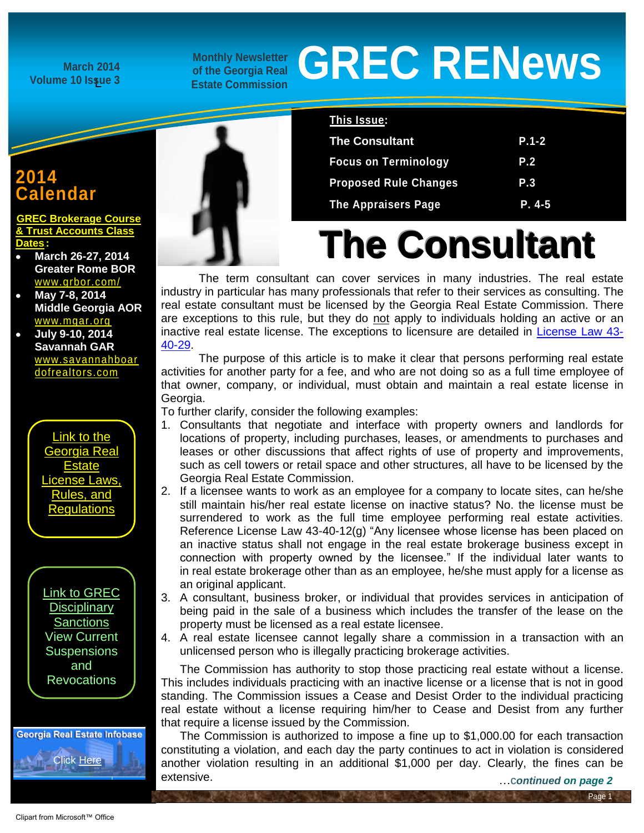**March 2014 Volume 10 Issue 3**

**Monthly Newsletter of the Georgia Real Estate Commission**

# **GREC RENews**

# **2014 Calendar**

**REC Brokerage Course [& Trust Accounts Class](http://www.grec.state.ga.us/PDFS/About/newsarticles/2014%20Schedule.pdf)  [Dates](http://www.grec.state.ga.us/PDFS/About/newsarticles/2014%20Schedule.pdf):** 

- **March 26-27, 2014 Greater Rome BOR** [www.grbor.com/](http://www.grbor.com/)
- **May 7-8, 2014 Middle Georgia AOR** [www.mgar.org](http://www.mgar.org/)
- **July 9-10, 2014 Savannah GAR** [www.savannahboar](http://www.savannahboardofrealtors.com/) [dofrealtors.com](http://www.savannahboardofrealtors.com/)



[Link to GREC](http://www.grec.state.ga.us/about/resanctions.html)  **Disciplinary [Sanctions](http://www.grec.state.ga.us/about/resanctions.html)** View Current **Suspensions** and **Revocations** 





| This Issue:                  |            |
|------------------------------|------------|
| <b>The Consultant</b>        | $P.1 - 2$  |
| <b>Focus on Terminology</b>  | <b>P.2</b> |
| <b>Proposed Rule Changes</b> | P.3        |
| <b>The Appraisers Page</b>   | P. 4-5     |

# **The Consultant**

The term consultant can cover services in many industries. The real estate industry in particular has many professionals that refer to their services as consulting. The real estate consultant must be licensed by the Georgia Real Estate Commission. There are exceptions to this rule, but they do not apply to individuals holding an active or an inactive real estate license. The exceptions to licensure are detailed in [License Law 43-](http://www.grec.state.ga.us/about/relaw.html) [40-29.](http://www.grec.state.ga.us/about/relaw.html)

The purpose of this article is to make it clear that persons performing real estate activities for another party for a fee, and who are not doing so as a full time employee of that owner, company, or individual, must obtain and maintain a real estate license in Georgia.

To further clarify, consider the following examples:

- 1. Consultants that negotiate and interface with property owners and landlords for locations of property, including purchases, leases, or amendments to purchases and leases or other discussions that affect rights of use of property and improvements, such as cell towers or retail space and other structures, all have to be licensed by the Georgia Real Estate Commission.
- 2. If a licensee wants to work as an employee for a company to locate sites, can he/she still maintain his/her real estate license on inactive status? No. the license must be surrendered to work as the full time employee performing real estate activities. Reference License Law 43-40-12(g) "Any licensee whose license has been placed on an inactive status shall not engage in the real estate brokerage business except in connection with property owned by the licensee." If the individual later wants to in real estate brokerage other than as an employee, he/she must apply for a license as an original applicant.
- 3. A consultant, business broker, or individual that provides services in anticipation of being paid in the sale of a business which includes the transfer of the lease on the property must be licensed as a real estate licensee.
- 4. A real estate licensee cannot legally share a commission in a transaction with an unlicensed person who is illegally practicing brokerage activities.

The Commission has authority to stop those practicing real estate without a license. This includes individuals practicing with an inactive license or a license that is not in good standing. The Commission issues a Cease and Desist Order to the individual practicing real estate without a license requiring him/her to Cease and Desist from any further that require a license issued by the Commission.

The Commission is authorized to impose a fine up to \$1,000.00 for each transaction constituting a violation, and each day the party continues to act in violation is considered another violation resulting in an additional \$1,000 per day. Clearly, the fines can be extensive.

Page 1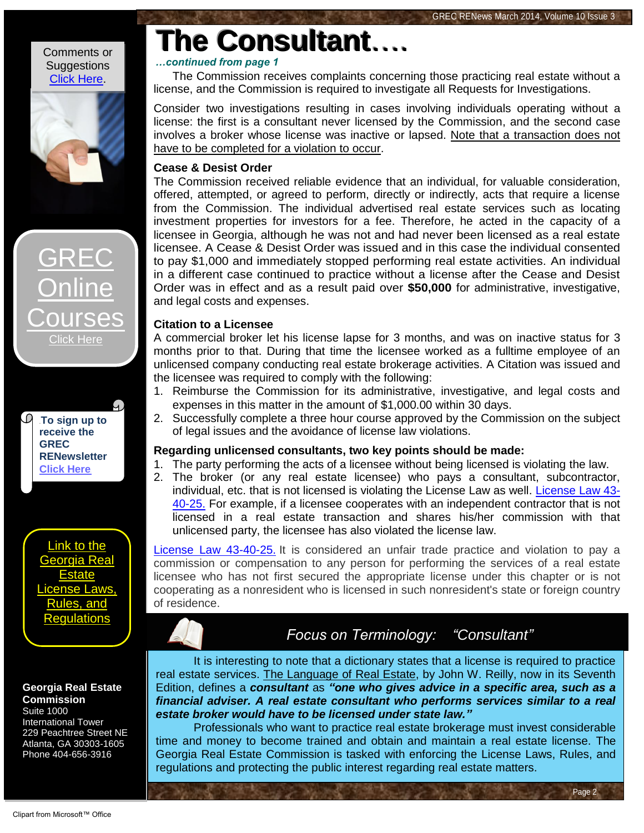#### Comments or **Suggestions** [Click Here.](http://www.jmre.com/grecrenewscomment.htm)





To sign up to **[receive the](http://www.grec.state.ga.us/about/subscribe.html)  [GREC](http://www.grec.state.ga.us/about/subscribe.html)  [RENewsletter](http://www.grec.state.ga.us/about/subscribe.html)  [Click Here](http://www.grec.state.ga.us/about/subscribe.html)** 

[Link to the](http://www.grec.state.ga.us/about/relaw.html)  [Georgia Real](http://www.grec.state.ga.us/about/relaw.html)  [Estate](http://www.grec.state.ga.us/about/relaw.html)  se Laws [Rules, and](http://www.grec.state.ga.us/about/relaw.html)  [Regulations](http://www.grec.state.ga.us/about/relaw.html)

### **Georgia Real Estate Commission**

Suite 1000 International Tower 229 Peachtree Street NE Atlanta, GA 30303-1605 Phone 404-656-3916

### *…continued from page 1*

**The Consultant**….

The Commission receives complaints concerning those practicing real estate without a license, and the Commission is required to investigate all Requests for Investigations.

Consider two investigations resulting in cases involving individuals operating without a license: the first is a consultant never licensed by the Commission, and the second case involves a broker whose license was inactive or lapsed. Note that a transaction does not have to be completed for a violation to occur.

## **Cease & Desist Order**

The Commission received reliable evidence that an individual, for valuable consideration, offered, attempted, or agreed to perform, directly or indirectly, acts that require a license from the Commission. The individual advertised real estate services such as locating investment properties for investors for a fee. Therefore, he acted in the capacity of a licensee in Georgia, although he was not and had never been licensed as a real estate licensee. A Cease & Desist Order was issued and in this case the individual consented to pay \$1,000 and immediately stopped performing real estate activities. An individual in a different case continued to practice without a license after the Cease and Desist Order was in effect and as a result paid over **\$50,000** for administrative, investigative, and legal costs and expenses.

### **Citation to a Licensee**

A commercial broker let his license lapse for 3 months, and was on inactive status for 3 months prior to that. During that time the licensee worked as a fulltime employee of an unlicensed company conducting real estate brokerage activities. A Citation was issued and the licensee was required to comply with the following:

- 1. Reimburse the Commission for its administrative, investigative, and legal costs and expenses in this matter in the amount of \$1,000.00 within 30 days.
- 2. Successfully complete a three hour course approved by the Commission on the subject of legal issues and the avoidance of license law violations.

### **Regarding unlicensed consultants, two key points should be made:**

- 1. The party performing the acts of a licensee without being licensed is violating the law.
- 2. The broker (or any real estate licensee) who pays a consultant, subcontractor, individual, etc. that is not licensed is violating the License Law as well. [License Law 43-](http://www.grec.state.ga.us/about/relaw.html) [40-25.](http://www.grec.state.ga.us/about/relaw.html) For example, if a licensee cooperates with an independent contractor that is not licensed in a real estate transaction and shares his/her commission with that unlicensed party, the licensee has also violated the license law.

[License Law 43-40-25.](http://www.grec.state.ga.us/about/relaw.html) It is considered an unfair trade practice and violation to pay a commission or compensation to any person for performing the services of a real estate licensee who has not first secured the appropriate license under this chapter or is not cooperating as a nonresident who is licensed in such nonresident's state or foreign country of residence.

# *Focus on Terminology: "Consultant"*

Page 2

It is interesting to note that a dictionary states that a license is required to practice real estate services. The Language of Real Estate, by John W. Reilly, now in its Seventh Edition, defines a *consultant* as *"one who gives advice in a specific area, such as a financial adviser. A real estate consultant who performs services similar to a real estate broker would have to be licensed under state law."*

Professionals who want to practice real estate brokerage must invest considerable time and money to become trained and obtain and maintain a real estate license. The Georgia Real Estate Commission is tasked with enforcing the License Laws, Rules, and regulations and protecting the public interest regarding real estate matters.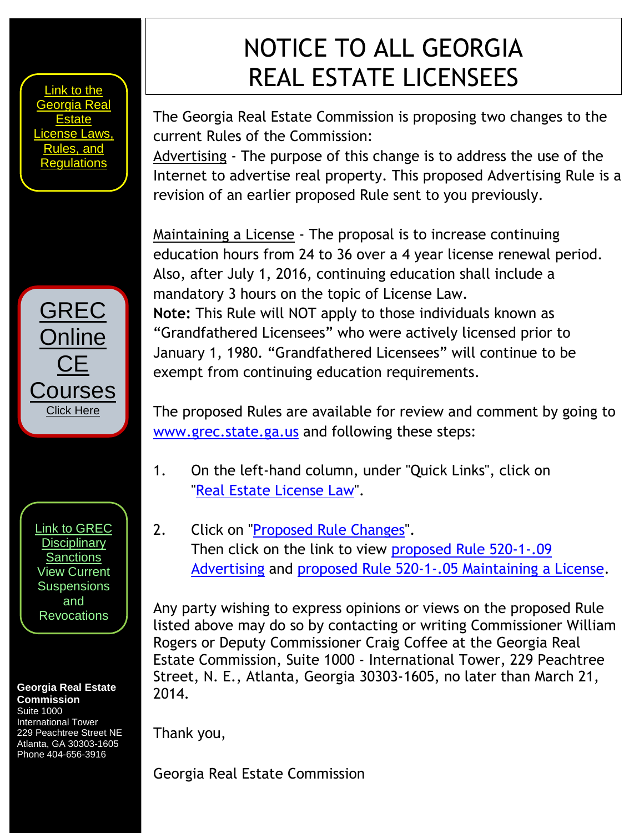[Link to the](http://www.grec.state.ga.us/about/relaw.html)  [Georgia Real](http://www.grec.state.ga.us/about/relaw.html)  **Estate** se Laws les, and [Regulations](http://www.grec.state.ga.us/about/relaw.html)

[GREC](http://www.grec.state.ga.us/about/relaw.html) Online CE **ourses** Click Here

[Link to GREC](http://www.grec.state.ga.us/about/resanctions.html)  **Disciplinary [Sanctions](http://www.grec.state.ga.us/about/resanctions.html)** View Current **Suspensions** and **Revocations** 

### **Georgia Real Estate Commission**

Suite 1000 International Tower 229 Peachtree Street NE Atlanta, GA 30303-1605 Phone 404-656-3916

# NOTICE TO ALL GEORGIA REAL ESTATE LICENSEES

The Georgia Real Estate Commission is proposing two changes to the current Rules of the Commission:

Advertising - The purpose of this change is to address the use of the Internet to advertise real property. This proposed Advertising Rule is a revision of an earlier proposed Rule sent to you previously.

Maintaining a License - The proposal is to increase continuing education hours from 24 to 36 over a 4 year license renewal period. Also, after July 1, 2016, continuing education shall include a mandatory 3 hours on the topic of License Law. **Note:** This Rule will NOT apply to those individuals known as "Grandfathered Licensees" who were actively licensed prior to January 1, 1980. "Grandfathered Licensees" will continue to be exempt from continuing education requirements.

The proposed Rules are available for review and comment by going to [www.grec.state.ga.us](http://www.grec.state.ga.us/) and following these steps:

- 1. On the left-hand column, under "Quick Links", click on ["Real Estate License Law"](http://www.grec.state.ga.us/about/relaw.html).
- 2. Click on ["Proposed Rule Changes"](http://www.grec.state.ga.us/about/reproposed.html). Then click on the link to view [proposed Rule 520-1-.09](http://www.grec.state.ga.us/PDFS/About/To%20Post%20%20520%201%2009%20Advertising%20%2002%2014.pdf)  [Advertising](http://www.grec.state.ga.us/PDFS/About/To%20Post%20%20520%201%2009%20Advertising%20%2002%2014.pdf) and [proposed Rule 520-1-.05 Maintaining a License.](http://www.grec.state.ga.us/PDFS/About/NOI%20Post%20to%20Website%2003%2003%2014.pdf)

Any party wishing to express opinions or views on the proposed Rule listed above may do so by contacting or writing Commissioner William Rogers or Deputy Commissioner Craig Coffee at the Georgia Real Estate Commission, Suite 1000 - International Tower, 229 Peachtree Street, N. E., Atlanta, Georgia 30303-1605, no later than March 21, 2014.

Thank you,

Georgia Real Estate Commission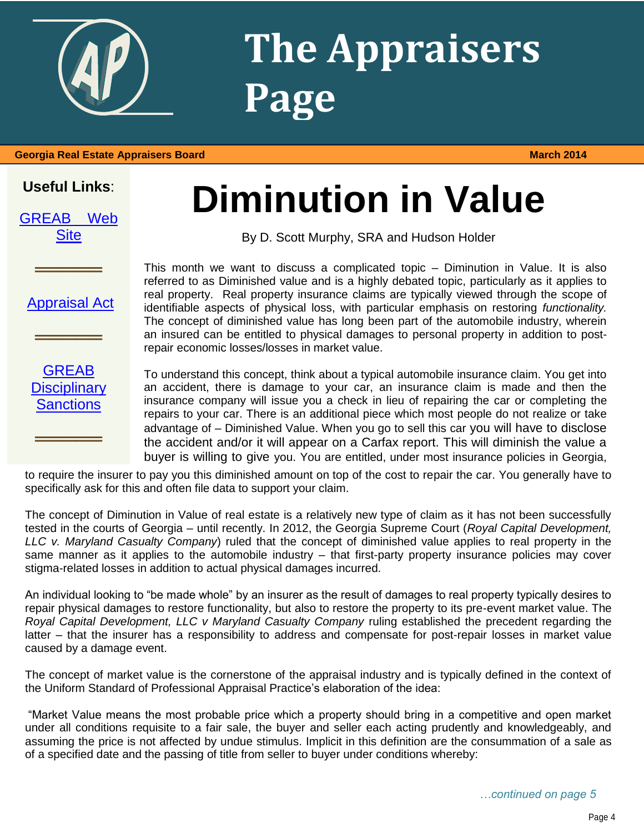

# **The Appraisers Page**

#### **Georgia Real Estate Appraisers Board March 2014**

# **Useful Links**:

| <b>GREAB</b> | Web |
|--------------|-----|
| <b>Site</b>  |     |

# **Diminution in Value**

By D. Scott Murphy, SRA and Hudson Holder

[Appraisal Act](http://www.grec.state.ga.us/about/appraisersact.html)

**═════**

**═════**

**GREAB Disciplinary [Sanctions](http://www.grec.state.ga.us/about/apprsanctions.html)** 

**═════**

This month we want to discuss a complicated topic – Diminution in Value. It is also referred to as Diminished value and is a highly debated topic, particularly as it applies to real property. Real property insurance claims are typically viewed through the scope of identifiable aspects of physical loss, with particular emphasis on restoring *functionality.*  The concept of diminished value has long been part of the automobile industry, wherein an insured can be entitled to physical damages to personal property in addition to postrepair economic losses/losses in market value.

To understand this concept, think about a typical automobile insurance claim. You get into an accident, there is damage to your car, an insurance claim is made and then the insurance company will issue you a check in lieu of repairing the car or completing the repairs to your car. There is an additional piece which most people do not realize or take advantage of – Diminished Value. When you go to sell this car you will have to disclose the accident and/or it will appear on a Carfax report. This will diminish the value a buyer is willing to give you. You are entitled, under most insurance policies in Georgia,

to require the insurer to pay you this diminished amount on top of the cost to repair the car. You generally have to specifically ask for this and often file data to support your claim.

The concept of Diminution in Value of real estate is a relatively new type of claim as it has not been successfully tested in the courts of Georgia – until recently. In 2012, the Georgia Supreme Court (*Royal Capital Development, LLC v. Maryland Casualty Company*) ruled that the concept of diminished value applies to real property in the same manner as it applies to the automobile industry – that first-party property insurance policies may cover stigma-related losses in addition to actual physical damages incurred.

An individual looking to "be made whole" by an insurer as the result of damages to real property typically desires to repair physical damages to restore functionality, but also to restore the property to its pre-event market value. The *Royal Capital Development, LLC v Maryland Casualty Company* ruling established the precedent regarding the latter – that the insurer has a responsibility to address and compensate for post-repair losses in market value caused by a damage event.

The concept of market value is the cornerstone of the appraisal industry and is typically defined in the context of the Uniform Standard of Professional Appraisal Practice's elaboration of the idea:

"Market Value means the most probable price which a property should bring in a competitive and open market under all conditions requisite to a fair sale, the buyer and seller each acting prudently and knowledgeably, and assuming the price is not affected by undue stimulus. Implicit in this definition are the consummation of a sale as of a specified date and the passing of title from seller to buyer under conditions whereby: